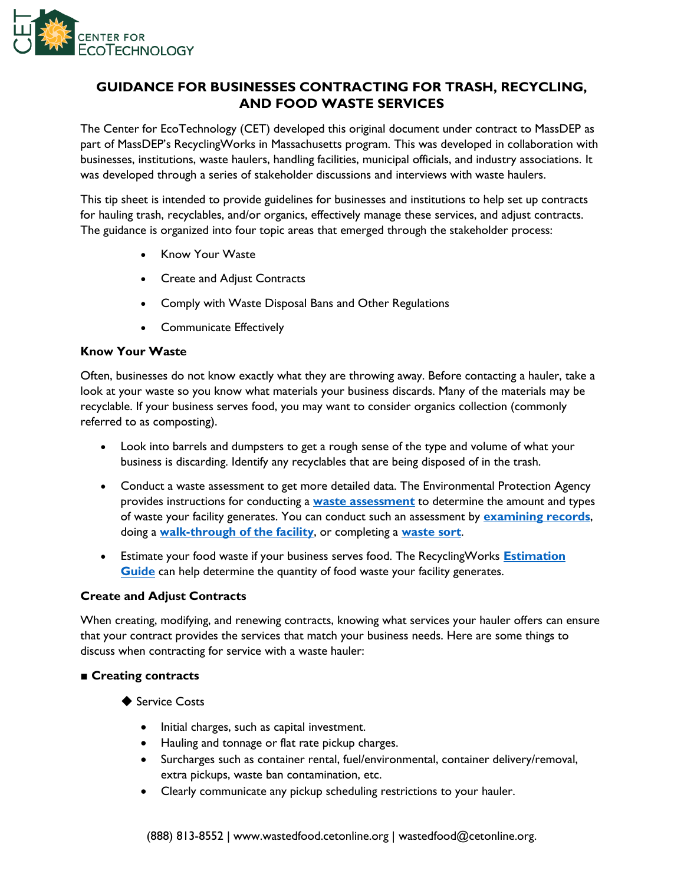

# **GUIDANCE FOR BUSINESSES CONTRACTING FOR TRASH, RECYCLING, AND FOOD WASTE SERVICES**

The Center for EcoTechnology (CET) developed this original document under contract to MassDEP as part of MassDEP's RecyclingWorks in Massachusetts program. This was developed in collaboration with businesses, institutions, waste haulers, handling facilities, municipal officials, and industry associations. It was developed through a series of stakeholder discussions and interviews with waste haulers.

This tip sheet is intended to provide guidelines for businesses and institutions to help set up contracts for hauling trash, recyclables, and/or organics, effectively manage these services, and adjust contracts. The guidance is organized into four topic areas that emerged through the stakeholder process:

- Know Your Waste
- Create and Adjust Contracts
- Comply with Waste Disposal Bans and Other Regulations
- Communicate Effectively

#### **Know Your Waste**

Often, businesses do not know exactly what they are throwing away. Before contacting a hauler, take a look at your waste so you know what materials your business discards. Many of the materials may be recyclable. If your business serves food, you may want to consider organics collection (commonly referred to as composting).

- Look into barrels and dumpsters to get a rough sense of the type and volume of what your business is discarding. Identify any recyclables that are being disposed of in the trash.
- Conduct a waste assessment to get more detailed data. The Environmental Protection Agency provides instructions for conducting a **[waste assessment](https://www.epa.gov/smm/instructions-conducting-waste-assessments)** to determine the amount and types of waste your facility generates. You can conduct such an assessment by **[examining records](https://www.epa.gov/sites/production/files/2016-03/documents/records.pdf)**, doing a **[walk-through of the facility](https://www.epa.gov/sites/production/files/2016-03/documents/walkthrough.pdf)**, or completing a **[waste sort](https://www.epa.gov/sites/production/files/2016-03/documents/wastesort.pdf)**.
- Estimate your food waste if your business serves food. The RecyclingWorks **[Estimation](https://recyclingworksma.com/food-waste-estimation-guide/)  [Guide](https://recyclingworksma.com/food-waste-estimation-guide/)** can help determine the quantity of food waste your facility generates.

#### **Create and Adjust Contracts**

When creating, modifying, and renewing contracts, knowing what services your hauler offers can ensure that your contract provides the services that match your business needs. Here are some things to discuss when contracting for service with a waste hauler:

#### **■ Creating contracts**

- ◆ Service Costs
	- Initial charges, such as capital investment.
	- Hauling and tonnage or flat rate pickup charges.
	- Surcharges such as container rental, fuel/environmental, container delivery/removal, extra pickups, waste ban contamination, etc.
	- Clearly communicate any pickup scheduling restrictions to your hauler.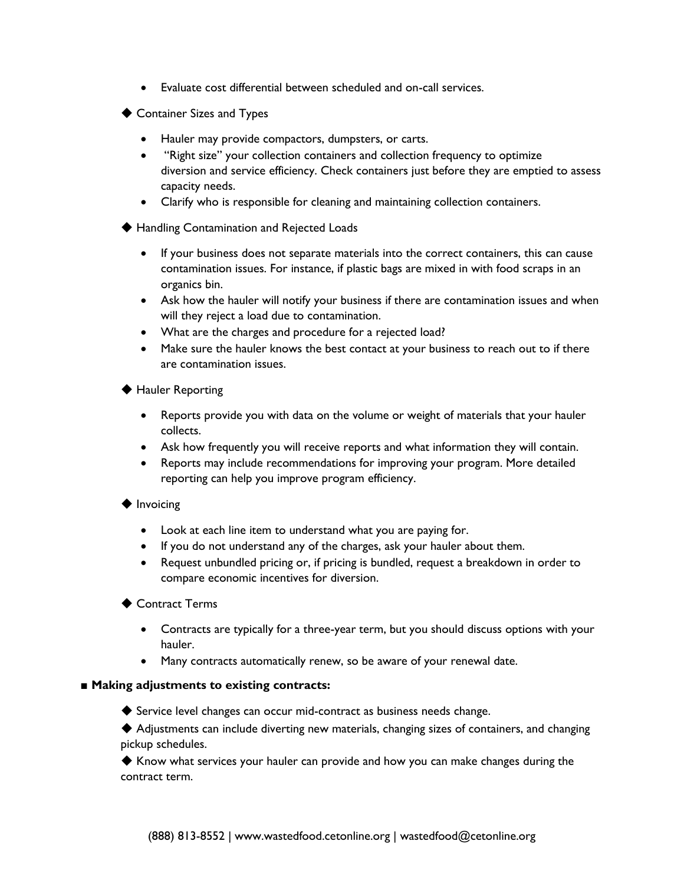- Evaluate cost differential between scheduled and on-call services.
- ◆ Container Sizes and Types
	- Hauler may provide compactors, dumpsters, or carts.
	- "Right size" your collection containers and collection frequency to optimize diversion and service efficiency. Check containers just before they are emptied to assess capacity needs.
	- Clarify who is responsible for cleaning and maintaining collection containers.
- ◆ Handling Contamination and Rejected Loads
	- If your business does not separate materials into the correct containers, this can cause contamination issues. For instance, if plastic bags are mixed in with food scraps in an organics bin.
	- Ask how the hauler will notify your business if there are contamination issues and when will they reject a load due to contamination.
	- What are the charges and procedure for a rejected load?
	- Make sure the hauler knows the best contact at your business to reach out to if there are contamination issues.
- ◆ Hauler Reporting
	- Reports provide you with data on the volume or weight of materials that your hauler collects.
	- Ask how frequently you will receive reports and what information they will contain.
	- Reports may include recommendations for improving your program. More detailed reporting can help you improve program efficiency.
- ◆ Invoicing
	- Look at each line item to understand what you are paying for.
	- If you do not understand any of the charges, ask your hauler about them.
	- Request unbundled pricing or, if pricing is bundled, request a breakdown in order to compare economic incentives for diversion.
- ◆ Contract Terms
	- Contracts are typically for a three-year term, but you should discuss options with your hauler.
	- Many contracts automatically renew, so be aware of your renewal date.

#### ■ **Making adjustments to existing contracts:**

- ◆ Service level changes can occur mid-contract as business needs change.
- ◆ Adjustments can include diverting new materials, changing sizes of containers, and changing pickup schedules.

◆ Know what services your hauler can provide and how you can make changes during the contract term.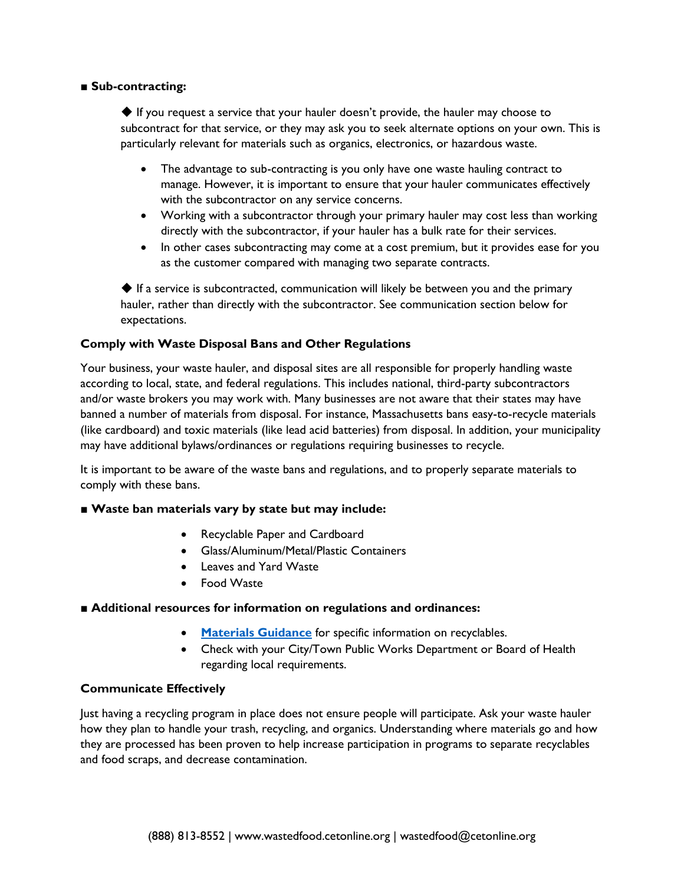### **■ Sub-contracting:**

 $\blacklozenge$  If you request a service that your hauler doesn't provide, the hauler may choose to subcontract for that service, or they may ask you to seek alternate options on your own. This is particularly relevant for materials such as organics, electronics, or hazardous waste.

- The advantage to sub-contracting is you only have one waste hauling contract to manage. However, it is important to ensure that your hauler communicates effectively with the subcontractor on any service concerns.
- Working with a subcontractor through your primary hauler may cost less than working directly with the subcontractor, if your hauler has a bulk rate for their services.
- In other cases subcontracting may come at a cost premium, but it provides ease for you as the customer compared with managing two separate contracts.

◆ If a service is subcontracted, communication will likely be between you and the primary hauler, rather than directly with the subcontractor. See communication section below for expectations.

## **Comply with Waste Disposal Bans and Other Regulations**

Your business, your waste hauler, and disposal sites are all responsible for properly handling waste according to local, state, and federal regulations. This includes national, third-party subcontractors and/or waste brokers you may work with. Many businesses are not aware that their states may have banned a number of materials from disposal. For instance, Massachusetts bans easy-to-recycle materials (like cardboard) and toxic materials (like lead acid batteries) from disposal. In addition, your municipality may have additional bylaws/ordinances or regulations requiring businesses to recycle.

It is important to be aware of the waste bans and regulations, and to properly separate materials to comply with these bans.

#### **■ Waste ban materials vary by state but may include:**

- Recyclable Paper and Cardboard
- Glass/Aluminum/Metal/Plastic Containers
- Leaves and Yard Waste
- Food Waste

#### ■ **Additional resources for information on regulations and ordinances:**

- **[Materials Guidance](https://recyclingworksma.com/how-to/materials-guidance/)** for specific information on recyclables.
- Check with your City/Town Public Works Department or Board of Health regarding local requirements.

#### **Communicate Effectively**

Just having a recycling program in place does not ensure people will participate. Ask your waste hauler how they plan to handle your trash, recycling, and organics. Understanding where materials go and how they are processed has been proven to help increase participation in programs to separate recyclables and food scraps, and decrease contamination.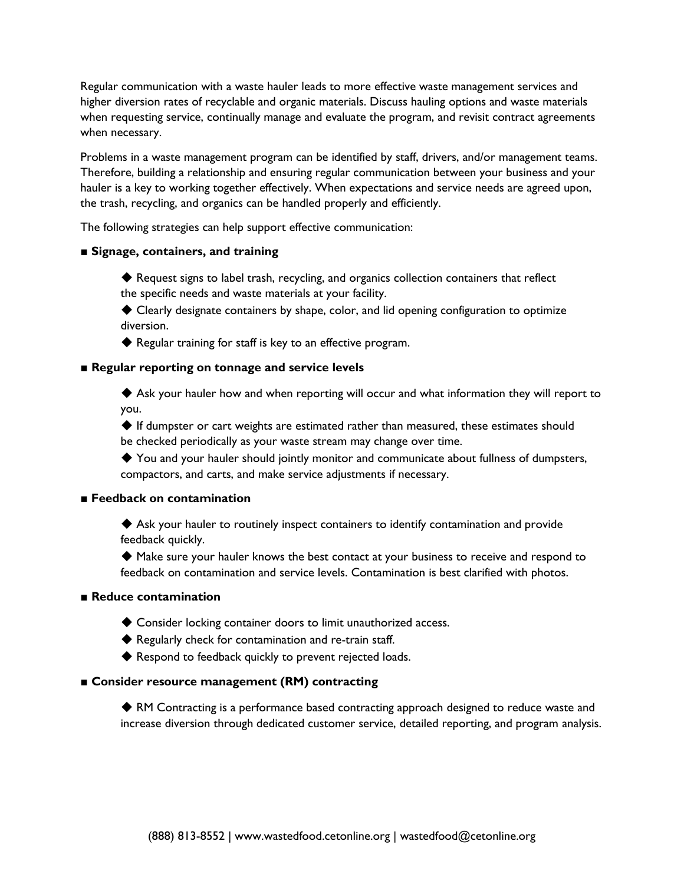Regular communication with a waste hauler leads to more effective waste management services and higher diversion rates of recyclable and organic materials. Discuss hauling options and waste materials when requesting service, continually manage and evaluate the program, and revisit contract agreements when necessary.

Problems in a waste management program can be identified by staff, drivers, and/or management teams. Therefore, building a relationship and ensuring regular communication between your business and your hauler is a key to working together effectively. When expectations and service needs are agreed upon, the trash, recycling, and organics can be handled properly and efficiently.

The following strategies can help support effective communication:

#### **■ Signage, containers, and training**

- ◆ Request signs to label trash, recycling, and organics collection containers that reflect the specific needs and waste materials at your facility.
- ◆ Clearly designate containers by shape, color, and lid opening configuration to optimize diversion.
- ◆ Regular training for staff is key to an effective program.

#### ■ **Regular reporting on tonnage and service levels**

◆ Ask your hauler how and when reporting will occur and what information they will report to you.

◆ If dumpster or cart weights are estimated rather than measured, these estimates should be checked periodically as your waste stream may change over time.

◆ You and your hauler should jointly monitor and communicate about fullness of dumpsters, compactors, and carts, and make service adjustments if necessary.

#### **■ Feedback on contamination**

◆ Ask your hauler to routinely inspect containers to identify contamination and provide feedback quickly.

◆ Make sure your hauler knows the best contact at your business to receive and respond to feedback on contamination and service levels. Contamination is best clarified with photos.

#### **■ Reduce contamination**

- ◆ Consider locking container doors to limit unauthorized access.
- ◆ Regularly check for contamination and re-train staff.
- ◆ Respond to feedback quickly to prevent rejected loads.

#### **■ Consider resource management (RM) contracting**

◆ RM Contracting is a performance based contracting approach designed to reduce waste and increase diversion through dedicated customer service, detailed reporting, and program analysis.